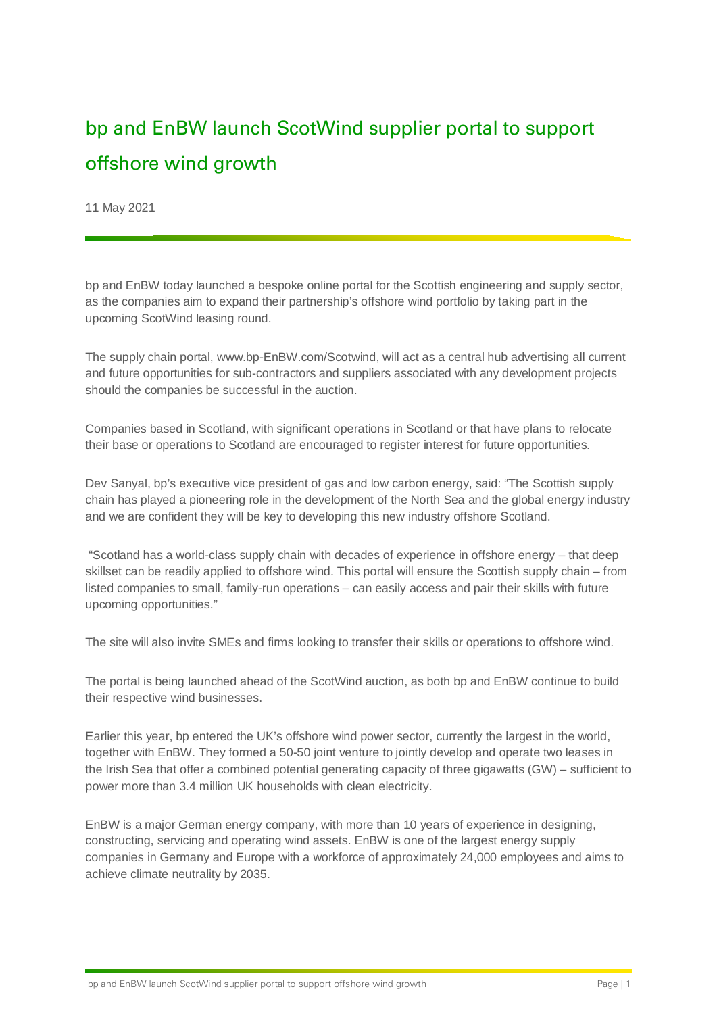## bp and EnBW launch ScotWind supplier portal to support offshore wind growth

11 May 2021

bp and EnBW today launched a bespoke online portal for the Scottish engineering and supply sector, as the companies aim to expand their partnership's offshore wind portfolio by taking part in the upcoming ScotWind leasing round.

The supply chain portal, www.bp-EnBW.com/Scotwind, will act as a central hub advertising all current and future opportunities for sub-contractors and suppliers associated with any development projects should the companies be successful in the auction.

Companies based in Scotland, with significant operations in Scotland or that have plans to relocate their base or operations to Scotland are encouraged to register interest for future opportunities.

Dev Sanyal, bp's executive vice president of gas and low carbon energy, said: "The Scottish supply chain has played a pioneering role in the development of the North Sea and the global energy industry and we are confident they will be key to developing this new industry offshore Scotland.

"Scotland has a world-class supply chain with decades of experience in offshore energy – that deep skillset can be readily applied to offshore wind. This portal will ensure the Scottish supply chain – from listed companies to small, family-run operations – can easily access and pair their skills with future upcoming opportunities."

The site will also invite SMEs and firms looking to transfer their skills or operations to offshore wind.

The portal is being launched ahead of the ScotWind auction, as both bp and EnBW continue to build their respective wind businesses.

Earlier this year, bp entered the UK's offshore wind power sector, currently the largest in the world, together with EnBW. They formed a 50-50 joint venture to jointly develop and operate two leases in the Irish Sea that offer a combined potential generating capacity of three gigawatts (GW) – sufficient to power more than 3.4 million UK households with clean electricity.

EnBW is a major German energy company, with more than 10 years of experience in designing, constructing, servicing and operating wind assets. EnBW is one of the largest energy supply companies in Germany and Europe with a workforce of approximately 24,000 employees and aims to achieve climate neutrality by 2035.